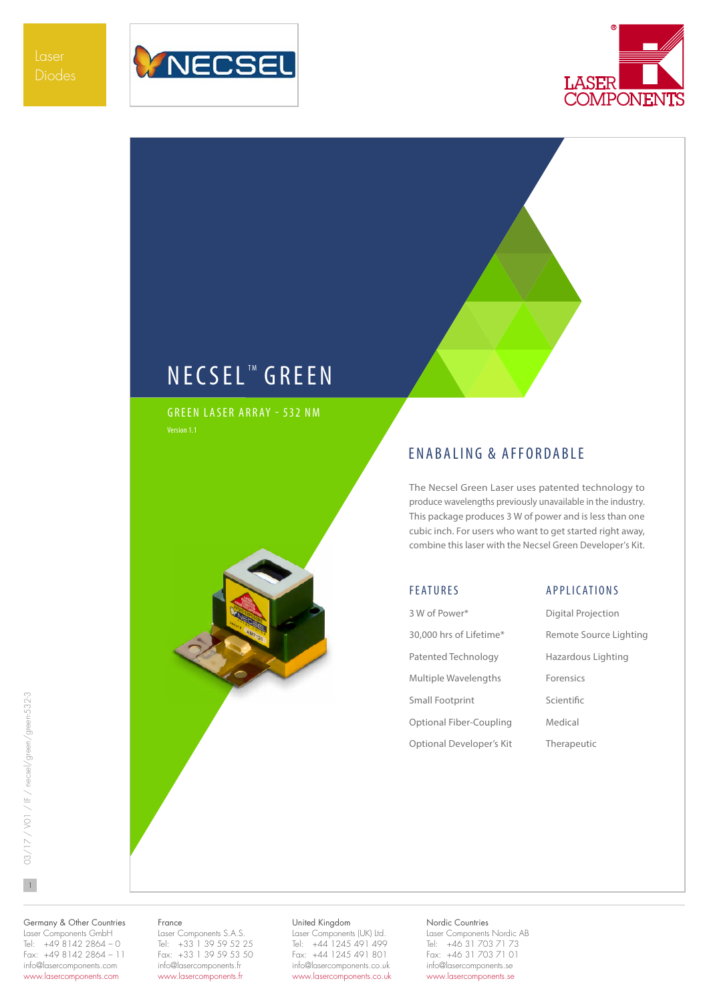



# NECSEL<sup>™</sup> GREEN

GREEN LASER ARRAY - 532 NM



## ENABALING & AFFORDABLE

The Necsel Green Laser uses patented technology to produce wavelengths previously unavailable in the industry. This package produces 3 W of power and is less than one cubic inch. For users who want to get started right away, combine this laser with the Necsel Green Developer's Kit.

### FEATURES

3 W of Power\* 30,000 hrs of Lifetime\* Patented Technology Multiple Wavelengths Small Footprint Optional Fiber-Coupling Optional Developer's Kit

### APPLICATIONS

Digital Projection Remote Source Lighting Hazardous Lighting Forensics Scientific Medical Therapeutic

 $\mathbf{1}$ 

Germany & Other Countries Laser Components GmbH Tel: +49 8142 2864 – 0 Fax: +49 8142 2864 – 11 info@lasercomponents.com www.lasercomponents.com

#### France

Laser Components S.A.S. Tel: +33 1 39 59 52 25 Fax: +33 1 39 59 53 50 info@lasercomponents.fr www.lasercomponents.fr

### United Kingdom

Laser Components (UK) Ltd. Tel: +44 1245 491 499 Fax: +44 1245 491 801 info@lasercomponents.co.uk www.lasercomponents.co.uk

### Nordic Countries

Laser Components Nordic AB Tel: +46 31 703 71 73 Fax: +46 31 703 71 01 info@lasercomponents.se www.lasercomponents.se